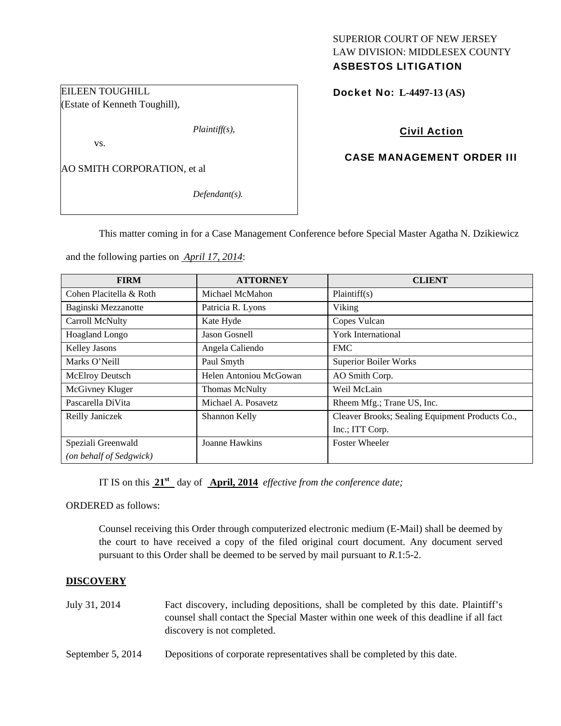# SUPERIOR COURT OF NEW JERSEY LAW DIVISION: MIDDLESEX COUNTY

# ASBESTOS LITIGATION

Docket No: **L-4497-13 (AS)** 

# Civil Action

## CASE MANAGEMENT ORDER III

AO SMITH CORPORATION, et al

EILEEN TOUGHILL

vs.

(Estate of Kenneth Toughill),

*Defendant(s).* 

*Plaintiff(s),* 

This matter coming in for a Case Management Conference before Special Master Agatha N. Dzikiewicz

and the following parties on *April 17, 2014*:

| <b>FIRM</b>             | <b>ATTORNEY</b>        | <b>CLIENT</b>                                   |
|-------------------------|------------------------|-------------------------------------------------|
| Cohen Placitella & Roth | Michael McMahon        | Plaintiff(s)                                    |
| Baginski Mezzanotte     | Patricia R. Lyons      | Viking                                          |
| Carroll McNulty         | Kate Hyde              | Copes Vulcan                                    |
| Hoagland Longo          | Jason Gosnell          | York International                              |
| Kelley Jasons           | Angela Caliendo        | <b>FMC</b>                                      |
| Marks O'Neill           | Paul Smyth             | <b>Superior Boiler Works</b>                    |
| McElroy Deutsch         | Helen Antoniou McGowan | AO Smith Corp.                                  |
| McGivney Kluger         | Thomas McNulty         | Weil McLain                                     |
| Pascarella DiVita       | Michael A. Posavetz    | Rheem Mfg.; Trane US, Inc.                      |
| Reilly Janiczek         | Shannon Kelly          | Cleaver Brooks; Sealing Equipment Products Co., |
|                         |                        | Inc.; ITT Corp.                                 |
| Speziali Greenwald      | Joanne Hawkins         | <b>Foster Wheeler</b>                           |
| (on behalf of Sedgwick) |                        |                                                 |

IT IS on this **21st** day of **April, 2014** *effective from the conference date;*

ORDERED as follows:

Counsel receiving this Order through computerized electronic medium (E-Mail) shall be deemed by the court to have received a copy of the filed original court document. Any document served pursuant to this Order shall be deemed to be served by mail pursuant to *R*.1:5-2.

#### **DISCOVERY**

- July 31, 2014 Fact discovery, including depositions, shall be completed by this date. Plaintiff's counsel shall contact the Special Master within one week of this deadline if all fact discovery is not completed.
- September 5, 2014 Depositions of corporate representatives shall be completed by this date.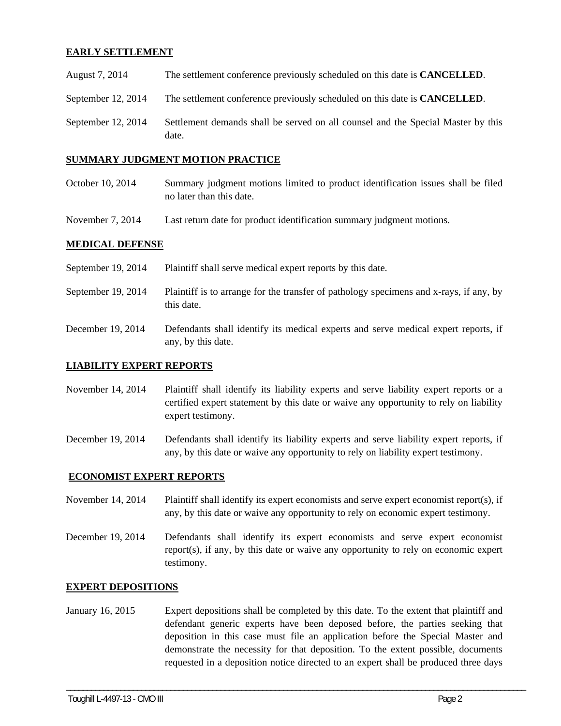### **EARLY SETTLEMENT**

| August 7, 2014       | The settlement conference previously scheduled on this date is <b>CANCELLED</b> . |
|----------------------|-----------------------------------------------------------------------------------|
| September 12, $2014$ | The settlement conference previously scheduled on this date is <b>CANCELLED</b> . |

September 12, 2014 Settlement demands shall be served on all counsel and the Special Master by this date.

#### **SUMMARY JUDGMENT MOTION PRACTICE**

- October 10, 2014 Summary judgment motions limited to product identification issues shall be filed no later than this date.
- November 7, 2014 Last return date for product identification summary judgment motions.

#### **MEDICAL DEFENSE**

- September 19, 2014 Plaintiff shall serve medical expert reports by this date.
- September 19, 2014 Plaintiff is to arrange for the transfer of pathology specimens and x-rays, if any, by this date.
- December 19, 2014 Defendants shall identify its medical experts and serve medical expert reports, if any, by this date.

#### **LIABILITY EXPERT REPORTS**

- November 14, 2014 Plaintiff shall identify its liability experts and serve liability expert reports or a certified expert statement by this date or waive any opportunity to rely on liability expert testimony.
- December 19, 2014 Defendants shall identify its liability experts and serve liability expert reports, if any, by this date or waive any opportunity to rely on liability expert testimony.

#### **ECONOMIST EXPERT REPORTS**

- November 14, 2014 Plaintiff shall identify its expert economists and serve expert economist report(s), if any, by this date or waive any opportunity to rely on economic expert testimony.
- December 19, 2014 Defendants shall identify its expert economists and serve expert economist report(s), if any, by this date or waive any opportunity to rely on economic expert testimony.

#### **EXPERT DEPOSITIONS**

January 16, 2015 Expert depositions shall be completed by this date. To the extent that plaintiff and defendant generic experts have been deposed before, the parties seeking that deposition in this case must file an application before the Special Master and demonstrate the necessity for that deposition. To the extent possible, documents requested in a deposition notice directed to an expert shall be produced three days

\_\_\_\_\_\_\_\_\_\_\_\_\_\_\_\_\_\_\_\_\_\_\_\_\_\_\_\_\_\_\_\_\_\_\_\_\_\_\_\_\_\_\_\_\_\_\_\_\_\_\_\_\_\_\_\_\_\_\_\_\_\_\_\_\_\_\_\_\_\_\_\_\_\_\_\_\_\_\_\_\_\_\_\_\_\_\_\_\_\_\_\_\_\_\_\_\_\_\_\_\_\_\_\_\_\_\_\_\_\_